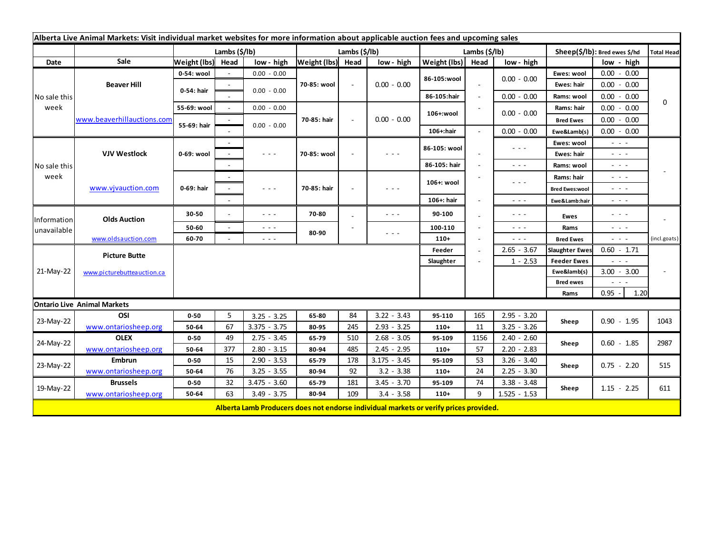| Alberta Live Animal Markets: Visit individual market websites for more information about applicable auction fees and upcoming sales |                            |                       |        |                                                                                                                                                                                                                                                                                                                                                                                                                                                |                       |        |                                                                                                                                                                                                                                                                                                                                                                                                                                                |                       |                          |                                                                                                                        |                               |                                                                                                                           |                   |
|-------------------------------------------------------------------------------------------------------------------------------------|----------------------------|-----------------------|--------|------------------------------------------------------------------------------------------------------------------------------------------------------------------------------------------------------------------------------------------------------------------------------------------------------------------------------------------------------------------------------------------------------------------------------------------------|-----------------------|--------|------------------------------------------------------------------------------------------------------------------------------------------------------------------------------------------------------------------------------------------------------------------------------------------------------------------------------------------------------------------------------------------------------------------------------------------------|-----------------------|--------------------------|------------------------------------------------------------------------------------------------------------------------|-------------------------------|---------------------------------------------------------------------------------------------------------------------------|-------------------|
|                                                                                                                                     |                            | Lambs $(\frac{2}{3})$ |        |                                                                                                                                                                                                                                                                                                                                                                                                                                                | Lambs $(\frac{2}{3})$ |        |                                                                                                                                                                                                                                                                                                                                                                                                                                                | Lambs $(\frac{2}{3})$ |                          |                                                                                                                        | Sheep(\$/lb): Bred ewes \$/hd |                                                                                                                           | <b>Total Head</b> |
| Date                                                                                                                                | Sale                       | Weight (lbs) Head     |        | low - high                                                                                                                                                                                                                                                                                                                                                                                                                                     | Weight (lbs) Head     |        | low - high                                                                                                                                                                                                                                                                                                                                                                                                                                     | Weight (lbs)          | Head                     | low - high                                                                                                             |                               | low - high                                                                                                                |                   |
| No sale this<br>week                                                                                                                | <b>Beaver Hill</b>         | 0-54: wool            |        | $0.00 - 0.00$                                                                                                                                                                                                                                                                                                                                                                                                                                  |                       |        | $0.00 - 0.00$                                                                                                                                                                                                                                                                                                                                                                                                                                  | 86-105:wool           |                          |                                                                                                                        | Ewes: wool                    | $0.00 - 0.00$                                                                                                             | 0                 |
|                                                                                                                                     |                            | 0-54: hair            |        | $0.00 - 0.00$                                                                                                                                                                                                                                                                                                                                                                                                                                  | 70-85: wool           |        |                                                                                                                                                                                                                                                                                                                                                                                                                                                |                       |                          | $0.00 - 0.00$                                                                                                          | Ewes: hair                    | $0.00 - 0.00$                                                                                                             |                   |
|                                                                                                                                     |                            |                       |        |                                                                                                                                                                                                                                                                                                                                                                                                                                                |                       |        |                                                                                                                                                                                                                                                                                                                                                                                                                                                | 86-105:hair           | $\overline{\phantom{a}}$ | $0.00 - 0.00$                                                                                                          | Rams: wool                    | $0.00 - 0.00$                                                                                                             |                   |
|                                                                                                                                     | www.beaverhillauctions.com | 55-69: wool           | $\sim$ | $0.00 - 0.00$                                                                                                                                                                                                                                                                                                                                                                                                                                  |                       |        | $0.00 - 0.00$                                                                                                                                                                                                                                                                                                                                                                                                                                  | 106+:wool             |                          | $0.00 - 0.00$                                                                                                          | Rams: hair                    | 0.00<br>$-0.00$                                                                                                           |                   |
|                                                                                                                                     |                            | 55-69: hair           |        |                                                                                                                                                                                                                                                                                                                                                                                                                                                | 70-85: hair           | $\sim$ |                                                                                                                                                                                                                                                                                                                                                                                                                                                |                       |                          |                                                                                                                        | <b>Bred Ewes</b>              | $0.00 - 0.00$                                                                                                             |                   |
|                                                                                                                                     |                            |                       |        | $0.00 - 0.00$                                                                                                                                                                                                                                                                                                                                                                                                                                  |                       |        |                                                                                                                                                                                                                                                                                                                                                                                                                                                | 106+:hair             |                          | $0.00 - 0.00$                                                                                                          | Ewe&Lamb(s)                   | $0.00 - 0.00$                                                                                                             |                   |
| No sale this<br>week                                                                                                                | <b>VJV Westlock</b>        | 0-69: wool            |        |                                                                                                                                                                                                                                                                                                                                                                                                                                                |                       |        | $\frac{1}{2} \left( \frac{1}{2} \right) + \frac{1}{2} \left( \frac{1}{2} \right) + \frac{1}{2} \left( \frac{1}{2} \right) + \frac{1}{2} \left( \frac{1}{2} \right) + \frac{1}{2} \left( \frac{1}{2} \right) + \frac{1}{2} \left( \frac{1}{2} \right) + \frac{1}{2} \left( \frac{1}{2} \right) + \frac{1}{2} \left( \frac{1}{2} \right) + \frac{1}{2} \left( \frac{1}{2} \right) + \frac{1}{2} \left( \frac{1}{2} \right) + \frac{1}{2} \left($ | 86-105: wool          |                          | $\frac{1}{2} \left( \frac{1}{2} \right) \frac{1}{2} \left( \frac{1}{2} \right) \frac{1}{2}$                            | Ewes: wool                    | $\frac{1}{2} \left( \frac{1}{2} \right) \left( \frac{1}{2} \right) \left( \frac{1}{2} \right) \left( \frac{1}{2} \right)$ |                   |
|                                                                                                                                     |                            |                       |        | $\frac{1}{2} \left( \frac{1}{2} \right) \frac{1}{2} \left( \frac{1}{2} \right) \frac{1}{2} \left( \frac{1}{2} \right)$                                                                                                                                                                                                                                                                                                                         | 70-85: wool           |        |                                                                                                                                                                                                                                                                                                                                                                                                                                                |                       |                          |                                                                                                                        | <b>Ewes: hair</b>             | - - -                                                                                                                     |                   |
|                                                                                                                                     |                            |                       |        |                                                                                                                                                                                                                                                                                                                                                                                                                                                |                       |        |                                                                                                                                                                                                                                                                                                                                                                                                                                                | 86-105: hair          |                          | $\frac{1}{2} \left( \frac{1}{2} \right) \frac{1}{2} \left( \frac{1}{2} \right) \frac{1}{2} \left( \frac{1}{2} \right)$ | Rams: wool                    | $\sim$ $  -$                                                                                                              |                   |
|                                                                                                                                     | www.vjvauction.com         | 0-69: hair            | $\sim$ |                                                                                                                                                                                                                                                                                                                                                                                                                                                | 70-85: hair           |        | $  -$                                                                                                                                                                                                                                                                                                                                                                                                                                          | 106+: wool            |                          | $  -$                                                                                                                  | Rams: hair                    | $\omega_{\rm{c}}$ , $\omega_{\rm{c}}$ , $\omega_{\rm{c}}$                                                                 |                   |
|                                                                                                                                     |                            |                       |        | $\frac{1}{2} \left( \frac{1}{2} \right) + \frac{1}{2} \left( \frac{1}{2} \right) + \frac{1}{2} \left( \frac{1}{2} \right) + \frac{1}{2} \left( \frac{1}{2} \right) + \frac{1}{2} \left( \frac{1}{2} \right) + \frac{1}{2} \left( \frac{1}{2} \right) + \frac{1}{2} \left( \frac{1}{2} \right) + \frac{1}{2} \left( \frac{1}{2} \right) + \frac{1}{2} \left( \frac{1}{2} \right) + \frac{1}{2} \left( \frac{1}{2} \right) + \frac{1}{2} \left($ |                       |        |                                                                                                                                                                                                                                                                                                                                                                                                                                                |                       |                          |                                                                                                                        | <b>Bred Ewes:wool</b>         | - - -                                                                                                                     |                   |
|                                                                                                                                     |                            |                       |        |                                                                                                                                                                                                                                                                                                                                                                                                                                                |                       |        |                                                                                                                                                                                                                                                                                                                                                                                                                                                | 106+: hair            |                          | $\sim$ $\sim$ $\sim$                                                                                                   | Ewe&Lamb:hair                 | - - -                                                                                                                     |                   |
| Information<br>unavailable                                                                                                          | <b>Olds Auction</b>        | 30-50                 |        | $\sim$ $\sim$ $\sim$                                                                                                                                                                                                                                                                                                                                                                                                                           | 70-80                 |        | $  -$                                                                                                                                                                                                                                                                                                                                                                                                                                          | 90-100                |                          | $\sim$ $\sim$ $\sim$                                                                                                   | Ewes                          | $\frac{1}{2} \left( \frac{1}{2} \right) \left( \frac{1}{2} \right) \left( \frac{1}{2} \right) \left( \frac{1}{2} \right)$ |                   |
|                                                                                                                                     |                            | 50-60                 | $\sim$ | $\sim$ $\sim$ $\sim$                                                                                                                                                                                                                                                                                                                                                                                                                           | 80-90                 |        |                                                                                                                                                                                                                                                                                                                                                                                                                                                | 100-110               |                          | $\sim$ $\sim$ $\sim$                                                                                                   | Rams                          | $\frac{1}{2} \left( \frac{1}{2} \right) \left( \frac{1}{2} \right) \left( \frac{1}{2} \right) \left( \frac{1}{2} \right)$ |                   |
|                                                                                                                                     | www.oldsauction.com        | 60-70                 |        | $\sim$ $ -$                                                                                                                                                                                                                                                                                                                                                                                                                                    |                       |        | $\frac{1}{2} \left( \frac{1}{2} \right) \frac{1}{2} \left( \frac{1}{2} \right) \frac{1}{2} \left( \frac{1}{2} \right)$                                                                                                                                                                                                                                                                                                                         | $110+$                |                          | - - -                                                                                                                  | <b>Bred Ewes</b>              | $\omega_{\rm{eff}}$ and $\omega_{\rm{eff}}$                                                                               | (incl.goats)      |
| 21-May-22                                                                                                                           | <b>Picture Butte</b>       | Feeder<br>Slaughter   |        |                                                                                                                                                                                                                                                                                                                                                                                                                                                |                       |        |                                                                                                                                                                                                                                                                                                                                                                                                                                                |                       |                          | $2.65 - 3.67$                                                                                                          | <b>Slaughter Ewes</b>         | $0.60 - 1.71$                                                                                                             |                   |
|                                                                                                                                     |                            |                       |        |                                                                                                                                                                                                                                                                                                                                                                                                                                                |                       |        |                                                                                                                                                                                                                                                                                                                                                                                                                                                |                       |                          | $1 - 2.53$                                                                                                             | <b>Feeder Ewes</b>            | - - -                                                                                                                     |                   |
|                                                                                                                                     | www.picturebutteauction.ca |                       |        |                                                                                                                                                                                                                                                                                                                                                                                                                                                |                       |        |                                                                                                                                                                                                                                                                                                                                                                                                                                                |                       |                          | Ewe&lamb(s)                                                                                                            | $3.00 - 3.00$                 |                                                                                                                           |                   |
|                                                                                                                                     |                            |                       |        |                                                                                                                                                                                                                                                                                                                                                                                                                                                |                       |        |                                                                                                                                                                                                                                                                                                                                                                                                                                                |                       |                          |                                                                                                                        | <b>Bred ewes</b>              |                                                                                                                           |                   |
|                                                                                                                                     |                            |                       |        |                                                                                                                                                                                                                                                                                                                                                                                                                                                |                       |        |                                                                                                                                                                                                                                                                                                                                                                                                                                                |                       |                          |                                                                                                                        | Rams                          | 1.20<br>0.95                                                                                                              |                   |
| <b>Ontario Live Animal Markets</b>                                                                                                  |                            |                       |        |                                                                                                                                                                                                                                                                                                                                                                                                                                                |                       |        |                                                                                                                                                                                                                                                                                                                                                                                                                                                |                       |                          |                                                                                                                        |                               |                                                                                                                           |                   |
| 23-May-22                                                                                                                           | OSI                        | $0 - 50$              | 5      | $3.25 - 3.25$                                                                                                                                                                                                                                                                                                                                                                                                                                  | 65-80                 | 84     | $3.22 - 3.43$                                                                                                                                                                                                                                                                                                                                                                                                                                  | 95-110                | 165                      | $2.95 - 3.20$                                                                                                          | Sheep                         | $0.90 - 1.95$                                                                                                             | 1043              |
|                                                                                                                                     | www.ontariosheep.org       | 50-64                 | 67     | $3.375 - 3.75$                                                                                                                                                                                                                                                                                                                                                                                                                                 | 80-95                 | 245    | $2.93 - 3.25$                                                                                                                                                                                                                                                                                                                                                                                                                                  | $110+$                | 11                       | $3.25 - 3.26$                                                                                                          |                               |                                                                                                                           |                   |
| 24-May-22                                                                                                                           | <b>OLEX</b>                | $0 - 50$              | 49     | $2.75 - 3.45$                                                                                                                                                                                                                                                                                                                                                                                                                                  | 65-79                 | 510    | $2.68 - 3.05$                                                                                                                                                                                                                                                                                                                                                                                                                                  | 95-109                | 1156                     | $2.40 - 2.60$                                                                                                          | Sheep                         | $0.60 - 1.85$                                                                                                             | 2987              |
|                                                                                                                                     | www.ontariosheep.org       | 50-64                 | 377    | $2.80 - 3.15$                                                                                                                                                                                                                                                                                                                                                                                                                                  | 80-94                 | 485    | $2.45 - 2.95$                                                                                                                                                                                                                                                                                                                                                                                                                                  | $110+$                | 57                       | $2.20 - 2.83$                                                                                                          |                               |                                                                                                                           |                   |
| 23-May-22                                                                                                                           | <b>Embrun</b>              | $0 - 50$              | 15     | $2.90 - 3.53$                                                                                                                                                                                                                                                                                                                                                                                                                                  | 65-79                 | 178    | $3.175 - 3.45$                                                                                                                                                                                                                                                                                                                                                                                                                                 | 95-109                | 53                       | $3.26 - 3.40$                                                                                                          | Sheep                         | $0.75 - 2.20$                                                                                                             | 515               |
|                                                                                                                                     | www.ontariosheep.org       | 50-64                 | 76     | $3.25 - 3.55$                                                                                                                                                                                                                                                                                                                                                                                                                                  | 80-94                 | 92     | $3.2 - 3.38$                                                                                                                                                                                                                                                                                                                                                                                                                                   | $110+$                | 24                       | $2.25 - 3.30$                                                                                                          |                               |                                                                                                                           |                   |
| 19-May-22                                                                                                                           | <b>Brussels</b>            | $0 - 50$              | 32     | $3.475 - 3.60$                                                                                                                                                                                                                                                                                                                                                                                                                                 | 65-79                 | 181    | $3.45 - 3.70$                                                                                                                                                                                                                                                                                                                                                                                                                                  | 95-109                | 74                       | $3.38 - 3.48$                                                                                                          | Sheep                         | $1.15 - 2.25$                                                                                                             | 611               |
|                                                                                                                                     | www.ontariosheep.org       | 50-64                 | 63     | $3.49 - 3.75$                                                                                                                                                                                                                                                                                                                                                                                                                                  | 80-94                 | 109    | $3.4 - 3.58$                                                                                                                                                                                                                                                                                                                                                                                                                                   | $110+$                | 9                        | $1.525 - 1.53$                                                                                                         |                               |                                                                                                                           |                   |
|                                                                                                                                     |                            |                       |        |                                                                                                                                                                                                                                                                                                                                                                                                                                                |                       |        | Alberta Lamb Producers does not endorse individual markets or verify prices provided.                                                                                                                                                                                                                                                                                                                                                          |                       |                          |                                                                                                                        |                               |                                                                                                                           |                   |